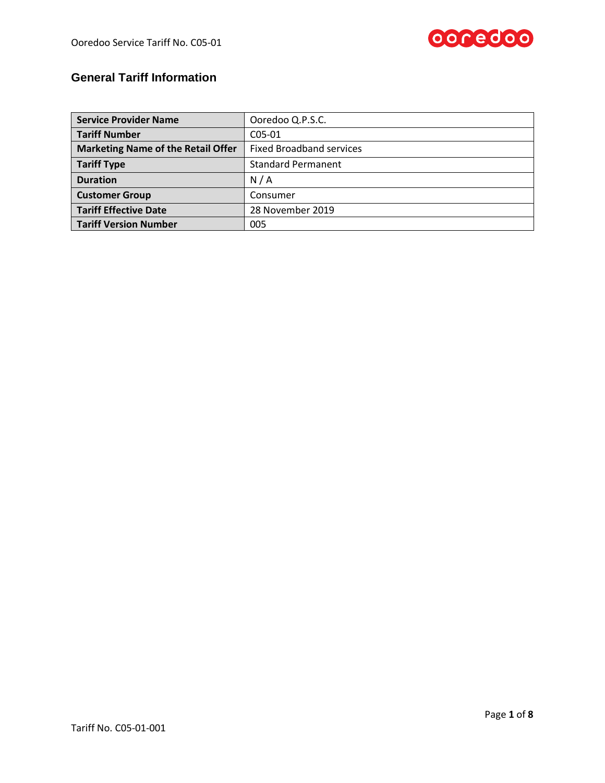

# **General Tariff Information**

| <b>Service Provider Name</b>              | Ooredoo Q.P.S.C.                |  |  |
|-------------------------------------------|---------------------------------|--|--|
| <b>Tariff Number</b>                      | $C05-01$                        |  |  |
| <b>Marketing Name of the Retail Offer</b> | <b>Fixed Broadband services</b> |  |  |
| <b>Tariff Type</b>                        | <b>Standard Permanent</b>       |  |  |
| <b>Duration</b>                           | N/A                             |  |  |
| <b>Customer Group</b>                     | Consumer                        |  |  |
| <b>Tariff Effective Date</b>              | 28 November 2019                |  |  |
| <b>Tariff Version Number</b>              | 005                             |  |  |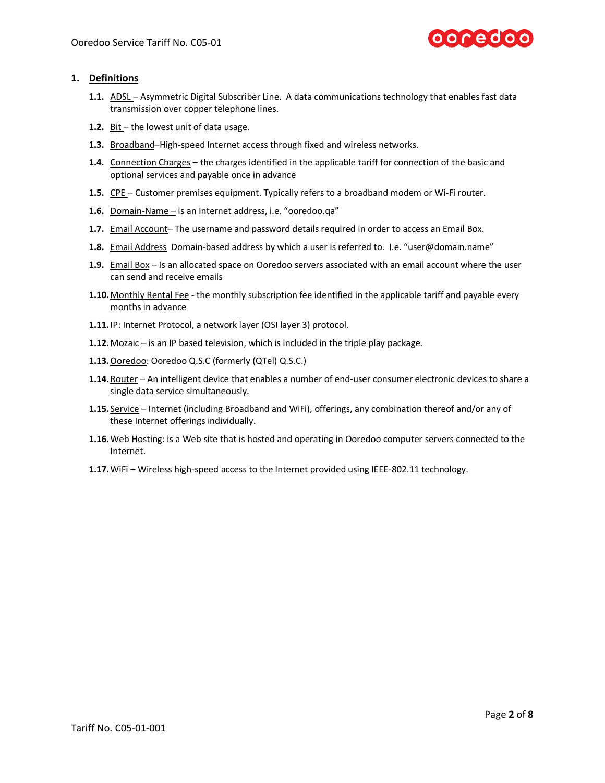

## **1. Definitions**

- **1.1.** ADSL Asymmetric Digital Subscriber Line. A data communications technology that enables fast data transmission ove[r copper](http://en.wikipedia.org/wiki/Copper) [telephone lines.](http://en.wikipedia.org/wiki/Telephone_line)
- **1.2.** Bit the lowest unit of data usage.
- **1.3.** Broadband–High-speed Internet access through fixed and wireless networks.
- **1.4.** Connection Charges the charges identified in the applicable tariff for connection of the basic and optional services and payable once in advance
- **1.5.** CPE Customer premises equipment. Typically refers to a broadband modem or Wi-Fi router.
- **1.6.** Domain-Name is an Internet address, i.e. "ooredoo.qa"
- **1.7.** Email Account– The username and password details required in order to access an Email Box.
- **1.8.** Email Address Domain-based address by which a user is referred to. I.e. "user@domain.name"
- **1.9.** Email Box Is an allocated space on Ooredoo servers associated with an email account where the user can send and receive emails
- **1.10.**Monthly Rental Fee the monthly subscription fee identified in the applicable tariff and payable every months in advance
- **1.11.**IP: Internet Protocol, a network layer (OSI layer 3) protocol.
- **1.12.**Mozaic is an IP based television, which is included in the triple play package.
- **1.13.**Ooredoo: Ooredoo Q.S.C (formerly (QTel) Q.S.C.)
- **1.14.**Router An intelligent device that enables a number of end-user consumer electronic devices to share a single data service simultaneously.
- **1.15.** Service Internet (including Broadband and WiFi), offerings, any combination thereof and/or any of these Internet offerings individually.
- **1.16.**Web Hosting: is a Web site that is hosted and operating in Ooredoo computer servers connected to the Internet.
- **1.17.**WiFi Wireless high-speed access to the Internet provided using IEEE-802.11 technology.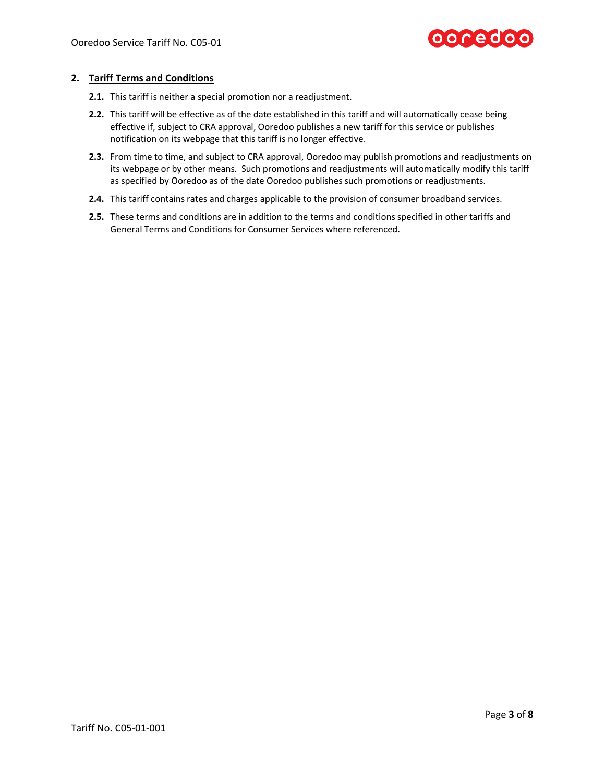

# **2. Tariff Terms and Conditions**

- **2.1.** This tariff is neither a special promotion nor a readjustment.
- **2.2.** This tariff will be effective as of the date established in this tariff and will automatically cease being effective if, subject to CRA approval, Ooredoo publishes a new tariff for this service or publishes notification on its webpage that this tariff is no longer effective.
- **2.3.** From time to time, and subject to CRA approval, Ooredoo may publish promotions and readjustments on its webpage or by other means. Such promotions and readjustments will automatically modify this tariff as specified by Ooredoo as of the date Ooredoo publishes such promotions or readjustments.
- **2.4.** This tariff contains rates and charges applicable to the provision of consumer broadband services.
- **2.5.** These terms and conditions are in addition to the terms and conditions specified in other tariffs and General Terms and Conditions for Consumer Services where referenced.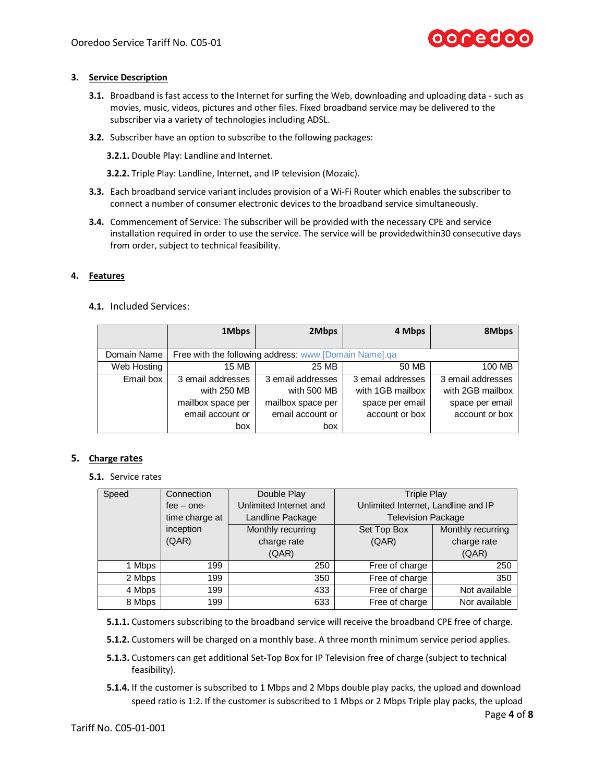

## **3. Service Description**

- **3.1.** Broadband is fast access to the Internet for surfing the Web, downloading and uploading data such as movies, music, videos, pictures and other files. Fixed broadband service may be delivered to the subscriber via a variety of technologies including ADSL.
- **3.2.** Subscriber have an option to subscribe to the following packages:

**3.2.1.** Double Play: Landline and Internet.

**3.2.2.** Triple Play: Landline, Internet, and IP television (Mozaic).

- **3.3.** Each broadband service variant includes provision of a Wi-Fi Router which enables the subscriber to connect a number of consumer electronic devices to the broadband service simultaneously.
- **3.4.** Commencement of Service: The subscriber will be provided with the necessary CPE and service installation required in order to use the service. The service will be providedwithin30 consecutive days from order, subject to technical feasibility.

# **4. Features**

## **4.1.** Included Services:

|             | 1Mbps             | 2Mbps                                                 | 4 Mbps            | 8Mbps             |
|-------------|-------------------|-------------------------------------------------------|-------------------|-------------------|
|             |                   |                                                       |                   |                   |
| Domain Name |                   | Free with the following address: www.[Domain Name].qa |                   |                   |
| Web Hosting | 15 MB             | 25 MB                                                 | 50 MB             | 100 MB            |
| Email box   | 3 email addresses | 3 email addresses                                     | 3 email addresses | 3 email addresses |
|             | with 250 MB       | with 500 MB                                           | with 1GB mailbox  | with 2GB mailbox  |
|             | mailbox space per | mailbox space per                                     | space per email   | space per email   |
|             | email account or  | email account or                                      | account or box    | account or box    |
|             | box               | box                                                   |                   |                   |

#### **5. Charge rates**

**5.1.** Service rates

| Speed  | Connection     | Double Play            | <b>Triple Play</b>                  |                   |
|--------|----------------|------------------------|-------------------------------------|-------------------|
|        | $fee - one-$   | Unlimited Internet and | Unlimited Internet, Landline and IP |                   |
|        | time charge at | Landline Package       | <b>Television Package</b>           |                   |
|        | inception      | Monthly recurring      | Set Top Box                         | Monthly recurring |
|        | (QAR)          | charge rate            | (QAR)                               | charge rate       |
|        |                | (QAR)                  |                                     | (QAR)             |
| 1 Mbps | 199            | 250                    | Free of charge                      | 250               |
| 2 Mbps | 199            | 350                    | Free of charge                      | 350               |
| 4 Mbps | 199            | 433                    | Free of charge                      | Not available     |
| 8 Mbps | 199            | 633                    | Free of charge                      | Nor available     |

**5.1.1.** Customers subscribing to the broadband service will receive the broadband CPE free of charge.

**5.1.2.** Customers will be charged on a monthly base. A three month minimum service period applies.

- **5.1.3.** Customers can get additional Set-Top Box for IP Television free of charge (subject to technical feasibility).
- **5.1.4.** If the customer is subscribed to 1 Mbps and 2 Mbps double play packs, the upload and download speed ratio is 1:2. If the customer is subscribed to 1 Mbps or 2 Mbps Triple play packs, the upload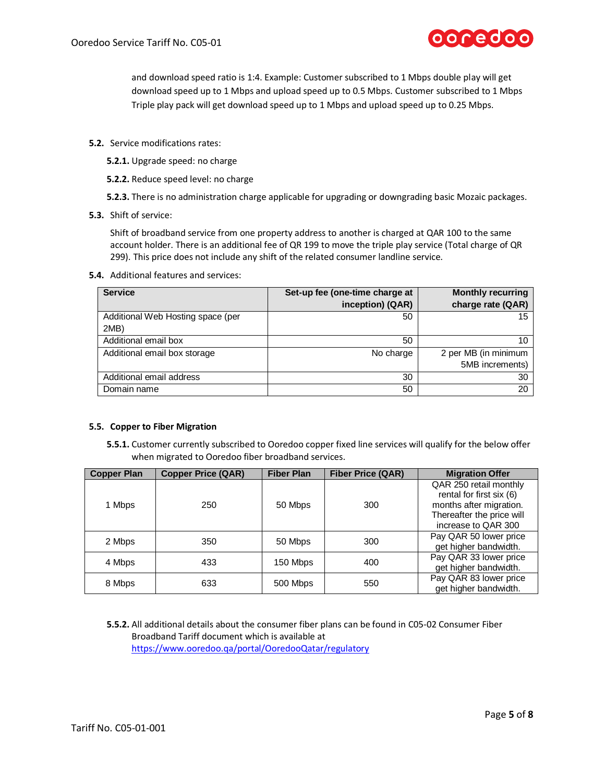

and download speed ratio is 1:4. Example: Customer subscribed to 1 Mbps double play will get download speed up to 1 Mbps and upload speed up to 0.5 Mbps. Customer subscribed to 1 Mbps Triple play pack will get download speed up to 1 Mbps and upload speed up to 0.25 Mbps.

- **5.2.** Service modifications rates:
	- **5.2.1.** Upgrade speed: no charge
	- **5.2.2.** Reduce speed level: no charge
	- **5.2.3.** There is no administration charge applicable for upgrading or downgrading basic Mozaic packages.
- **5.3.** Shift of service:

Shift of broadband service from one property address to another is charged at QAR 100 to the same account holder. There is an additional fee of QR 199 to move the triple play service (Total charge of QR 299). This price does not include any shift of the related consumer landline service.

**5.4.** Additional features and services:

| <b>Service</b>                    | Set-up fee (one-time charge at | <b>Monthly recurring</b> |
|-----------------------------------|--------------------------------|--------------------------|
|                                   | inception) (QAR)               | charge rate (QAR)        |
| Additional Web Hosting space (per | 50                             | 15                       |
| 2MB)                              |                                |                          |
| Additional email box              | 50                             | 10                       |
| Additional email box storage      | No charge                      | 2 per MB (in minimum     |
|                                   |                                | 5MB increments)          |
| Additional email address          | 30                             | 30                       |
| Domain name                       | 50                             | 20                       |

#### **5.5. Copper to Fiber Migration**

**5.5.1.** Customer currently subscribed to Ooredoo copper fixed line services will qualify for the below offer when migrated to Ooredoo fiber broadband services.

| <b>Copper Plan</b> | <b>Copper Price (QAR)</b> | <b>Fiber Plan</b> | <b>Fiber Price (QAR)</b> | <b>Migration Offer</b>                                                                                                            |
|--------------------|---------------------------|-------------------|--------------------------|-----------------------------------------------------------------------------------------------------------------------------------|
| 1 Mbps             | 250                       | 50 Mbps           | 300                      | QAR 250 retail monthly<br>rental for first six (6)<br>months after migration.<br>Thereafter the price will<br>increase to QAR 300 |
| 2 Mbps             | 350                       | 50 Mbps           | 300                      | Pay QAR 50 lower price<br>get higher bandwidth.                                                                                   |
| 4 Mbps             | 433                       | 150 Mbps          | 400                      | Pay QAR 33 lower price<br>get higher bandwidth.                                                                                   |
| 8 Mbps             | 633                       | 500 Mbps          | 550                      | Pay QAR 83 lower price<br>get higher bandwidth.                                                                                   |

**5.5.2.** All additional details about the consumer fiber plans can be found in C05-02 Consumer Fiber Broadband Tariff document which is available at <https://www.ooredoo.qa/portal/OoredooQatar/regulatory>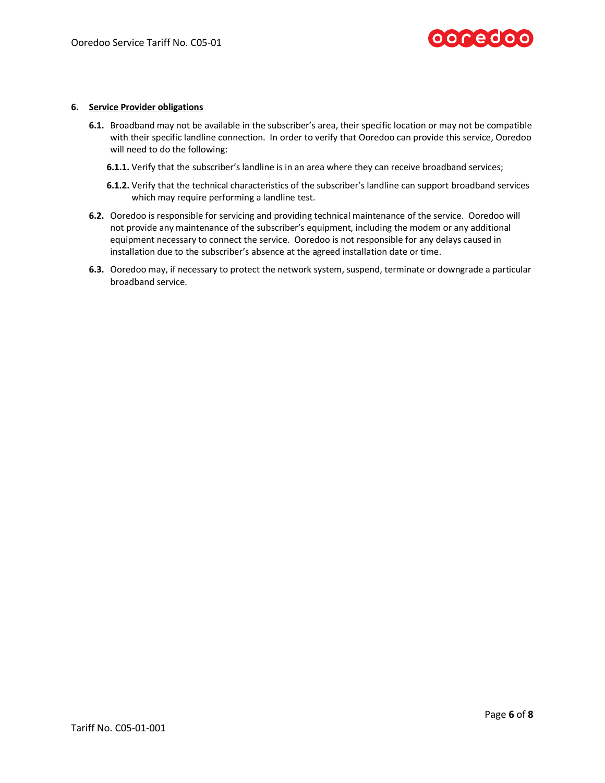

#### **6. Service Provider obligations**

- **6.1.** Broadband may not be available in the subscriber's area, their specific location or may not be compatible with their specific landline connection. In order to verify that Ooredoo can provide this service, Ooredoo will need to do the following:
	- **6.1.1.** Verify that the subscriber's landline is in an area where they can receive broadband services;
	- **6.1.2.** Verify that the technical characteristics of the subscriber's landline can support broadband services which may require performing a landline test.
- **6.2.** Ooredoo is responsible for servicing and providing technical maintenance of the service. Ooredoo will not provide any maintenance of the subscriber's equipment, including the modem or any additional equipment necessary to connect the service. Ooredoo is not responsible for any delays caused in installation due to the subscriber's absence at the agreed installation date or time.
- **6.3.** Ooredoo may, if necessary to protect the network system, suspend, terminate or downgrade a particular broadband service.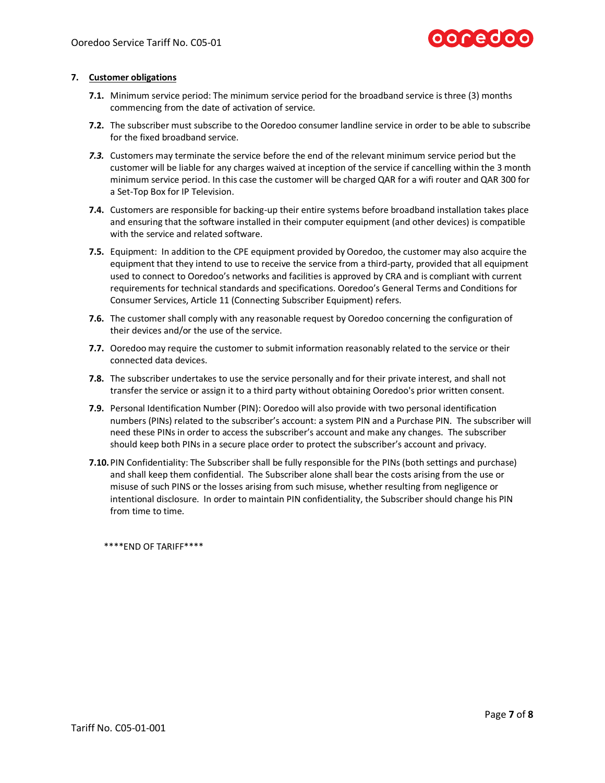

#### **7. Customer obligations**

- **7.1.** Minimum service period: The minimum service period for the broadband service is three (3) months commencing from the date of activation of service.
- **7.2.** The subscriber must subscribe to the Ooredoo consumer landline service in order to be able to subscribe for the fixed broadband service.
- *7.3.* Customers may terminate the service before the end of the relevant minimum service period but the customer will be liable for any charges waived at inception of the service if cancelling within the 3 month minimum service period. In this case the customer will be charged QAR for a wifi router and QAR 300 for a Set-Top Box for IP Television.
- **7.4.** Customers are responsible for backing-up their entire systems before broadband installation takes place and ensuring that the software installed in their computer equipment (and other devices) is compatible with the service and related software.
- **7.5.** Equipment: In addition to the CPE equipment provided by Ooredoo, the customer may also acquire the equipment that they intend to use to receive the service from a third-party, provided that all equipment used to connect to Ooredoo's networks and facilities is approved by CRA and is compliant with current requirements for technical standards and specifications. Ooredoo's General Terms and Conditions for Consumer Services, Article 11 (Connecting Subscriber Equipment) refers.
- **7.6.** The customer shall comply with any reasonable request by Ooredoo concerning the configuration of their devices and/or the use of the service.
- **7.7.** Ooredoo may require the customer to submit information reasonably related to the service or their connected data devices.
- **7.8.** The subscriber undertakes to use the service personally and for their private interest, and shall not transfer the service or assign it to a third party without obtaining Ooredoo's prior written consent.
- **7.9.** Personal Identification Number (PIN): Ooredoo will also provide with two personal identification numbers (PINs) related to the subscriber's account: a system PIN and a Purchase PIN. The subscriber will need these PINs in order to access the subscriber's account and make any changes. The subscriber should keep both PINs in a secure place order to protect the subscriber's account and privacy.
- **7.10.**PIN Confidentiality: The Subscriber shall be fully responsible for the PINs (both settings and purchase) and shall keep them confidential. The Subscriber alone shall bear the costs arising from the use or misuse of such PINS or the losses arising from such misuse, whether resulting from negligence or intentional disclosure. In order to maintain PIN confidentiality, the Subscriber should change his PIN from time to time.

\*\*\*\*END OF TARIFF\*\*\*\*